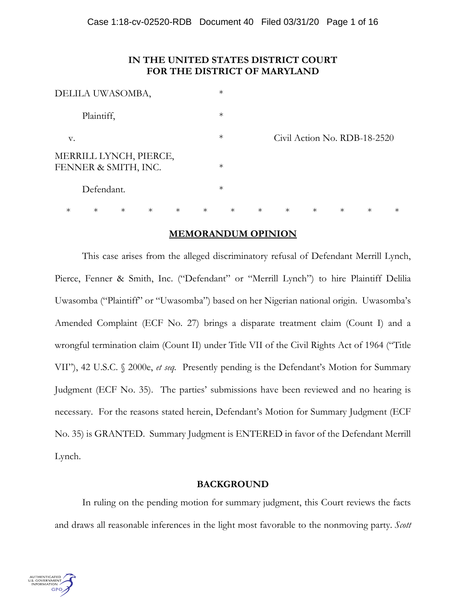# **IN THE UNITED STATES DISTRICT COURT FOR THE DISTRICT OF MARYLAND**

| DELILA UWASOMBA,                               |                  | $\ast$ |        |        |        |        |                              |        |
|------------------------------------------------|------------------|--------|--------|--------|--------|--------|------------------------------|--------|
| Plaintiff,                                     |                  | $\ast$ |        |        |        |        |                              |        |
| V.                                             |                  | $\ast$ |        |        |        |        | Civil Action No. RDB-18-2520 |        |
| MERRILL LYNCH, PIERCE,<br>FENNER & SMITH, INC. |                  | $\ast$ |        |        |        |        |                              |        |
| Defendant.                                     |                  | $\ast$ |        |        |        |        |                              |        |
| $\ast$<br>$\ast$<br>$\ast$<br>$\ast$           | $\ast$<br>$\ast$ | $\ast$ | $\ast$ | $\ast$ | $\ast$ | $\ast$ | $\ast$                       | $\ast$ |

# **MEMORANDUM OPINION**

 This case arises from the alleged discriminatory refusal of Defendant Merrill Lynch, Pierce, Fenner & Smith, Inc. ("Defendant" or "Merrill Lynch") to hire Plaintiff Delilia Uwasomba ("Plaintiff" or "Uwasomba") based on her Nigerian national origin. Uwasomba's Amended Complaint (ECF No. 27) brings a disparate treatment claim (Count I) and a wrongful termination claim (Count II) under Title VII of the Civil Rights Act of 1964 ("Title VII"), 42 U.S.C. § 2000e, *et seq.* Presently pending is the Defendant's Motion for Summary Judgment (ECF No. 35). The parties' submissions have been reviewed and no hearing is necessary. For the reasons stated herein, Defendant's Motion for Summary Judgment (ECF No. 35) is GRANTED. Summary Judgment is ENTERED in favor of the Defendant Merrill Lynch.

# **BACKGROUND**

In ruling on the pending motion for summary judgment, this Court reviews the facts and draws all reasonable inferences in the light most favorable to the nonmoving party. *Scott* 

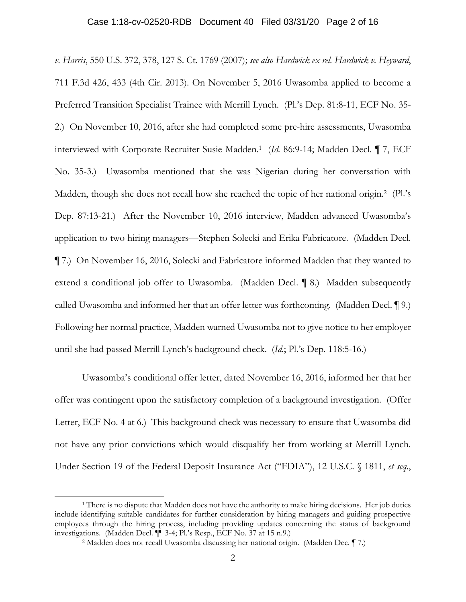*v. Harris*, 550 U.S. 372, 378, 127 S. Ct. 1769 (2007); *see also Hardwick ex rel. Hardwick v. Heyward*, 711 F.3d 426, 433 (4th Cir. 2013). On November 5, 2016 Uwasomba applied to become a Preferred Transition Specialist Trainee with Merrill Lynch. (Pl.'s Dep. 81:8-11, ECF No. 35- 2.) On November 10, 2016, after she had completed some pre-hire assessments, Uwasomba interviewed with Corporate Recruiter Susie Madden.1 (*Id.* 86:9-14; Madden Decl. ¶ 7, ECF No. 35-3.) Uwasomba mentioned that she was Nigerian during her conversation with Madden, though she does not recall how she reached the topic of her national origin.<sup>2</sup> (Pl.'s Dep. 87:13-21.) After the November 10, 2016 interview, Madden advanced Uwasomba's application to two hiring managers—Stephen Solecki and Erika Fabricatore. (Madden Decl. ¶ 7.) On November 16, 2016, Solecki and Fabricatore informed Madden that they wanted to extend a conditional job offer to Uwasomba. (Madden Decl. ¶ 8.) Madden subsequently called Uwasomba and informed her that an offer letter was forthcoming. (Madden Decl. ¶ 9.) Following her normal practice, Madden warned Uwasomba not to give notice to her employer until she had passed Merrill Lynch's background check. (*Id.*; Pl.'s Dep. 118:5-16.)

Uwasomba's conditional offer letter, dated November 16, 2016, informed her that her offer was contingent upon the satisfactory completion of a background investigation. (Offer Letter, ECF No. 4 at 6.) This background check was necessary to ensure that Uwasomba did not have any prior convictions which would disqualify her from working at Merrill Lynch. Under Section 19 of the Federal Deposit Insurance Act ("FDIA"), 12 U.S.C. § 1811, *et seq.*,

<sup>1</sup> There is no dispute that Madden does not have the authority to make hiring decisions. Her job duties include identifying suitable candidates for further consideration by hiring managers and guiding prospective employees through the hiring process, including providing updates concerning the status of background investigations. (Madden Decl. ¶¶ 3-4; Pl.'s Resp., ECF No. 37 at 15 n.9.) 2 Madden does not recall Uwasomba discussing her national origin. (Madden Dec. ¶ 7.)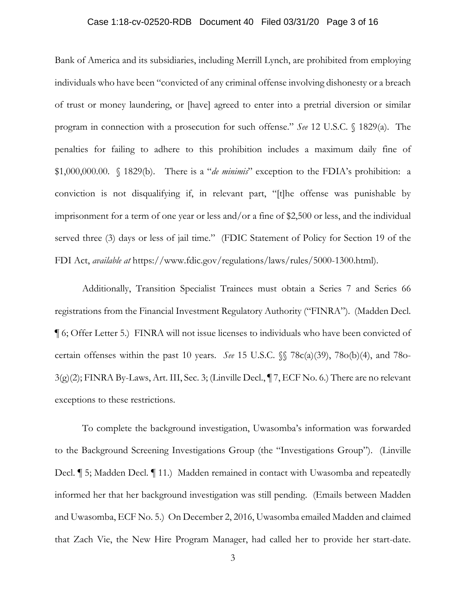#### Case 1:18-cv-02520-RDB Document 40 Filed 03/31/20 Page 3 of 16

Bank of America and its subsidiaries, including Merrill Lynch, are prohibited from employing individuals who have been "convicted of any criminal offense involving dishonesty or a breach of trust or money laundering, or [have] agreed to enter into a pretrial diversion or similar program in connection with a prosecution for such offense." *See* 12 U.S.C. § 1829(a). The penalties for failing to adhere to this prohibition includes a maximum daily fine of \$1,000,000.00. § 1829(b). There is a "*de minimis*" exception to the FDIA's prohibition: a conviction is not disqualifying if, in relevant part, "[t]he offense was punishable by imprisonment for a term of one year or less and/or a fine of \$2,500 or less, and the individual served three (3) days or less of jail time." (FDIC Statement of Policy for Section 19 of the FDI Act, *available at* https://www.fdic.gov/regulations/laws/rules/5000-1300.html).

Additionally, Transition Specialist Trainees must obtain a Series 7 and Series 66 registrations from the Financial Investment Regulatory Authority ("FINRA"). (Madden Decl. ¶ 6; Offer Letter 5.) FINRA will not issue licenses to individuals who have been convicted of certain offenses within the past 10 years. *See* 15 U.S.C. §§ 78c(a)(39), 78o(b)(4), and 78o-3(g)(2); FINRA By-Laws, Art. III, Sec. 3; (Linville Decl., ¶ 7, ECF No. 6.) There are no relevant exceptions to these restrictions.

To complete the background investigation, Uwasomba's information was forwarded to the Background Screening Investigations Group (the "Investigations Group"). (Linville Decl. **[5**; Madden Decl. **[11.**) Madden remained in contact with Uwasomba and repeatedly informed her that her background investigation was still pending. (Emails between Madden and Uwasomba, ECF No. 5.) On December 2, 2016, Uwasomba emailed Madden and claimed that Zach Vie, the New Hire Program Manager, had called her to provide her start-date.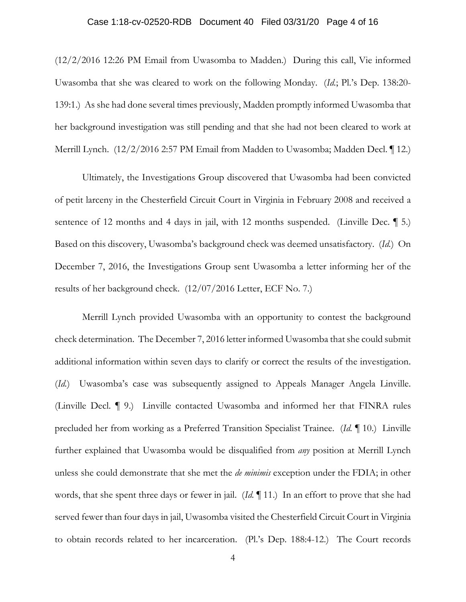#### Case 1:18-cv-02520-RDB Document 40 Filed 03/31/20 Page 4 of 16

(12/2/2016 12:26 PM Email from Uwasomba to Madden.) During this call, Vie informed Uwasomba that she was cleared to work on the following Monday. (*Id.*; Pl.'s Dep. 138:20- 139:1.) As she had done several times previously, Madden promptly informed Uwasomba that her background investigation was still pending and that she had not been cleared to work at Merrill Lynch. (12/2/2016 2:57 PM Email from Madden to Uwasomba; Madden Decl. ¶ 12.)

Ultimately, the Investigations Group discovered that Uwasomba had been convicted of petit larceny in the Chesterfield Circuit Court in Virginia in February 2008 and received a sentence of 12 months and 4 days in jail, with 12 months suspended. (Linville Dec. 1 5.) Based on this discovery, Uwasomba's background check was deemed unsatisfactory. (*Id.*) On December 7, 2016, the Investigations Group sent Uwasomba a letter informing her of the results of her background check. (12/07/2016 Letter, ECF No. 7.)

Merrill Lynch provided Uwasomba with an opportunity to contest the background check determination. The December 7, 2016 letter informed Uwasomba that she could submit additional information within seven days to clarify or correct the results of the investigation. (*Id.*) Uwasomba's case was subsequently assigned to Appeals Manager Angela Linville. (Linville Decl. ¶ 9.) Linville contacted Uwasomba and informed her that FINRA rules precluded her from working as a Preferred Transition Specialist Trainee. (*Id.* ¶ 10.) Linville further explained that Uwasomba would be disqualified from *any* position at Merrill Lynch unless she could demonstrate that she met the *de minimis* exception under the FDIA; in other words, that she spent three days or fewer in jail. (*Id.* ¶ 11.) In an effort to prove that she had served fewer than four days in jail, Uwasomba visited the Chesterfield Circuit Court in Virginia to obtain records related to her incarceration. (Pl.'s Dep. 188:4-12.) The Court records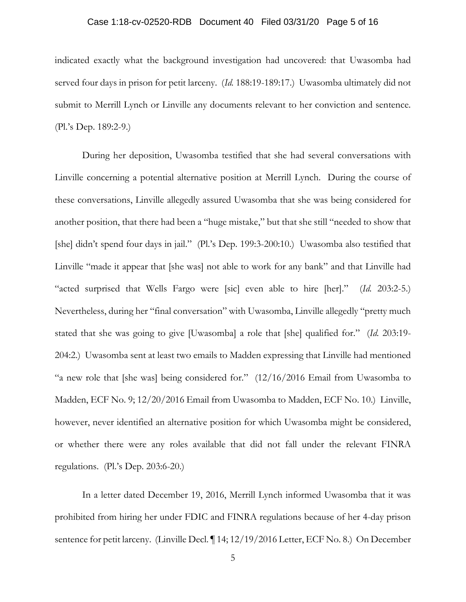#### Case 1:18-cv-02520-RDB Document 40 Filed 03/31/20 Page 5 of 16

indicated exactly what the background investigation had uncovered: that Uwasomba had served four days in prison for petit larceny. (*Id.* 188:19-189:17.) Uwasomba ultimately did not submit to Merrill Lynch or Linville any documents relevant to her conviction and sentence. (Pl.'s Dep. 189:2-9.)

During her deposition, Uwasomba testified that she had several conversations with Linville concerning a potential alternative position at Merrill Lynch. During the course of these conversations, Linville allegedly assured Uwasomba that she was being considered for another position, that there had been a "huge mistake," but that she still "needed to show that [she] didn't spend four days in jail." (Pl.'s Dep. 199:3-200:10.) Uwasomba also testified that Linville "made it appear that [she was] not able to work for any bank" and that Linville had "acted surprised that Wells Fargo were [sic] even able to hire [her]." (*Id.* 203:2-5.) Nevertheless, during her "final conversation" with Uwasomba, Linville allegedly "pretty much stated that she was going to give [Uwasomba] a role that [she] qualified for." (*Id.* 203:19- 204:2.) Uwasomba sent at least two emails to Madden expressing that Linville had mentioned "a new role that [she was] being considered for." (12/16/2016 Email from Uwasomba to Madden, ECF No. 9; 12/20/2016 Email from Uwasomba to Madden, ECF No. 10.) Linville, however, never identified an alternative position for which Uwasomba might be considered, or whether there were any roles available that did not fall under the relevant FINRA regulations. (Pl.'s Dep. 203:6-20.)

In a letter dated December 19, 2016, Merrill Lynch informed Uwasomba that it was prohibited from hiring her under FDIC and FINRA regulations because of her 4-day prison sentence for petit larceny. (Linville Decl. ¶ 14; 12/19/2016 Letter, ECF No. 8.) On December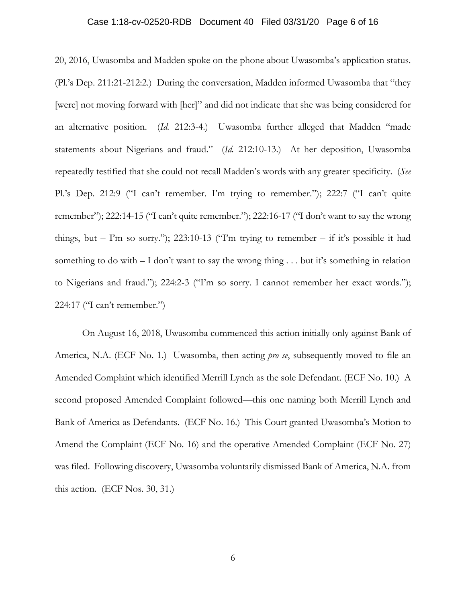#### Case 1:18-cv-02520-RDB Document 40 Filed 03/31/20 Page 6 of 16

20, 2016, Uwasomba and Madden spoke on the phone about Uwasomba's application status. (Pl.'s Dep. 211:21-212:2.) During the conversation, Madden informed Uwasomba that "they [were] not moving forward with [her]" and did not indicate that she was being considered for an alternative position. (*Id.* 212:3-4.) Uwasomba further alleged that Madden "made statements about Nigerians and fraud." (*Id.* 212:10-13.) At her deposition, Uwasomba repeatedly testified that she could not recall Madden's words with any greater specificity. (*See*  Pl.'s Dep. 212:9 ("I can't remember. I'm trying to remember."); 222:7 ("I can't quite remember"); 222:14-15 ("I can't quite remember."); 222:16-17 ("I don't want to say the wrong things, but  $-$  I'm so sorry."); 223:10-13 ("I'm trying to remember  $-$  if it's possible it had something to do with  $-1$  don't want to say the wrong thing ... but it's something in relation to Nigerians and fraud."); 224:2-3 ("I'm so sorry. I cannot remember her exact words."); 224:17 ("I can't remember.")

On August 16, 2018, Uwasomba commenced this action initially only against Bank of America, N.A. (ECF No. 1.) Uwasomba, then acting *pro se*, subsequently moved to file an Amended Complaint which identified Merrill Lynch as the sole Defendant. (ECF No. 10.) A second proposed Amended Complaint followed—this one naming both Merrill Lynch and Bank of America as Defendants. (ECF No. 16.) This Court granted Uwasomba's Motion to Amend the Complaint (ECF No. 16) and the operative Amended Complaint (ECF No. 27) was filed. Following discovery, Uwasomba voluntarily dismissed Bank of America, N.A. from this action. (ECF Nos. 30, 31.)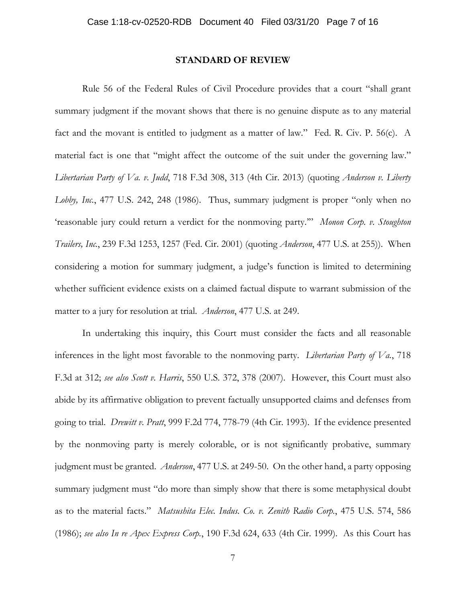#### **STANDARD OF REVIEW**

Rule 56 of the Federal Rules of Civil Procedure provides that a court "shall grant summary judgment if the movant shows that there is no genuine dispute as to any material fact and the movant is entitled to judgment as a matter of law." Fed. R. Civ. P. 56(c). A material fact is one that "might affect the outcome of the suit under the governing law." *Libertarian Party of Va. v. Judd*, 718 F.3d 308, 313 (4th Cir. 2013) (quoting *Anderson v. Liberty Lobby, Inc.*, 477 U.S. 242, 248 (1986). Thus, summary judgment is proper "only when no 'reasonable jury could return a verdict for the nonmoving party.'" *Monon Corp. v. Stoughton Trailers, Inc.*, 239 F.3d 1253, 1257 (Fed. Cir. 2001) (quoting *Anderson*, 477 U.S. at 255)). When considering a motion for summary judgment, a judge's function is limited to determining whether sufficient evidence exists on a claimed factual dispute to warrant submission of the matter to a jury for resolution at trial. *Anderson*, 477 U.S. at 249.

In undertaking this inquiry, this Court must consider the facts and all reasonable inferences in the light most favorable to the nonmoving party. *Libertarian Party of Va.*, 718 F.3d at 312; *see also Scott v. Harris*, 550 U.S. 372, 378 (2007). However, this Court must also abide by its affirmative obligation to prevent factually unsupported claims and defenses from going to trial. *Drewitt v. Pratt*, 999 F.2d 774, 778-79 (4th Cir. 1993). If the evidence presented by the nonmoving party is merely colorable, or is not significantly probative, summary judgment must be granted. *Anderson*, 477 U.S. at 249-50. On the other hand, a party opposing summary judgment must "do more than simply show that there is some metaphysical doubt as to the material facts." *Matsushita Elec. Indus. Co. v. Zenith Radio Corp.*, 475 U.S. 574, 586 (1986); *see also In re Apex Express Corp.*, 190 F.3d 624, 633 (4th Cir. 1999). As this Court has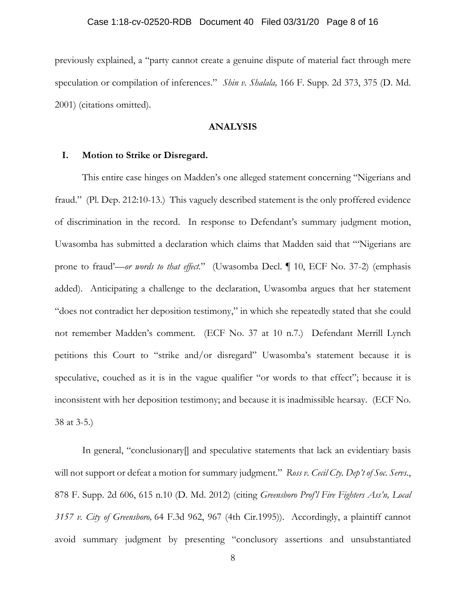previously explained, a "party cannot create a genuine dispute of material fact through mere speculation or compilation of inferences." *Shin v. Shalala,* 166 F. Supp. 2d 373, 375 (D. Md. 2001) (citations omitted).

## **ANALYSIS**

### **I. Motion to Strike or Disregard.**

 This entire case hinges on Madden's one alleged statement concerning "Nigerians and fraud." (Pl. Dep. 212:10-13.) This vaguely described statement is the only proffered evidence of discrimination in the record. In response to Defendant's summary judgment motion, Uwasomba has submitted a declaration which claims that Madden said that "'Nigerians are prone to fraud'—*or words to that effect*." (Uwasomba Decl. ¶ 10, ECF No. 37-2) (emphasis added). Anticipating a challenge to the declaration, Uwasomba argues that her statement "does not contradict her deposition testimony," in which she repeatedly stated that she could not remember Madden's comment. (ECF No. 37 at 10 n.7.) Defendant Merrill Lynch petitions this Court to "strike and/or disregard" Uwasomba's statement because it is speculative, couched as it is in the vague qualifier "or words to that effect"; because it is inconsistent with her deposition testimony; and because it is inadmissible hearsay. (ECF No. 38 at 3-5.)

In general, "conclusionary[] and speculative statements that lack an evidentiary basis will not support or defeat a motion for summary judgment." *Ross v. Cecil Cty. Dep't of Soc. Servs.*, 878 F. Supp. 2d 606, 615 n.10 (D. Md. 2012) (citing *Greensboro Prof'l Fire Fighters Ass'n, Local 3157 v. City of Greensboro,* 64 F.3d 962, 967 (4th Cir.1995)).Accordingly, a plaintiff cannot avoid summary judgment by presenting "conclusory assertions and unsubstantiated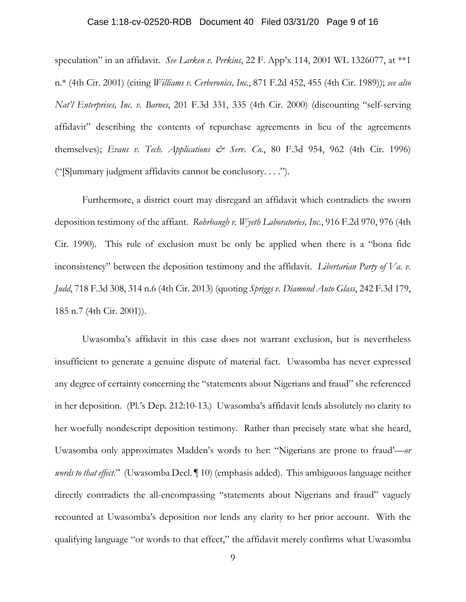#### Case 1:18-cv-02520-RDB Document 40 Filed 03/31/20 Page 9 of 16

speculation" in an affidavit. *See Larken v. Perkins*, 22 F. App'x 114, 2001 WL 1326077, at \*\*1 n.\* (4th Cir. 2001) (citing *Williams v. Cerberonics, Inc.*, 871 F.2d 452, 455 (4th Cir. 1989)); *see also Nat'l Enterprises, Inc. v. Barnes*, 201 F.3d 331, 335 (4th Cir. 2000) (discounting "self-serving affidavit" describing the contents of repurchase agreements in lieu of the agreements themselves); *Evans v. Tech. Applications & Serv. Co.*, 80 F.3d 954, 962 (4th Cir. 1996) ("[S]ummary judgment affidavits cannot be conclusory. . . .").

Furthermore, a district court may disregard an affidavit which contradicts the sworn deposition testimony of the affiant. *Rohrbaugh v. Wyeth Laboratories, Inc.*, 916 F.2d 970, 976 (4th Cir. 1990). This rule of exclusion must be only be applied when there is a "bona fide inconsistency" between the deposition testimony and the affidavit. *Libertarian Party of Va. v. Judd*, 718 F.3d 308, 314 n.6 (4th Cir. 2013) (quoting *Spriggs v. Diamond Auto Glass*, 242 F.3d 179, 185 n.7 (4th Cir. 2001)).

Uwasomba's affidavit in this case does not warrant exclusion, but is nevertheless insufficient to generate a genuine dispute of material fact. Uwasomba has never expressed any degree of certainty concerning the "statements about Nigerians and fraud" she referenced in her deposition. (Pl.'s Dep. 212:10-13.) Uwasomba's affidavit lends absolutely no clarity to her woefully nondescript deposition testimony. Rather than precisely state what she heard, Uwasomba only approximates Madden's words to her: "Nigerians are prone to fraud'—*or words to that effect*." (Uwasomba Decl. ¶ 10) (emphasis added). This ambiguous language neither directly contradicts the all-encompassing "statements about Nigerians and fraud" vaguely recounted at Uwasomba's deposition nor lends any clarity to her prior account. With the qualifying language "or words to that effect," the affidavit merely confirms what Uwasomba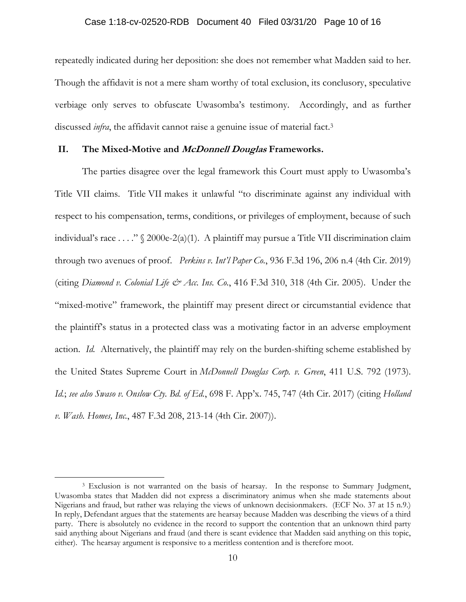#### Case 1:18-cv-02520-RDB Document 40 Filed 03/31/20 Page 10 of 16

repeatedly indicated during her deposition: she does not remember what Madden said to her. Though the affidavit is not a mere sham worthy of total exclusion, its conclusory, speculative verbiage only serves to obfuscate Uwasomba's testimony. Accordingly, and as further discussed *infra*, the affidavit cannot raise a genuine issue of material fact.3

## **II. The Mixed-Motive and McDonnell Douglas Frameworks.**

The parties disagree over the legal framework this Court must apply to Uwasomba's Title VII claims. Title VII makes it unlawful "to discriminate against any individual with respect to his compensation, terms, conditions, or privileges of employment, because of such individual's race . . . ." § 2000e-2(a)(1). A plaintiff may pursue a Title VII discrimination claim through two avenues of proof. *Perkins v. Int'l Paper Co.*, 936 F.3d 196, 206 n.4 (4th Cir. 2019) (citing *Diamond v. Colonial Life & Acc. Ins. Co.*, 416 F.3d 310, 318 (4th Cir. 2005). Under the "mixed-motive" framework, the plaintiff may present direct or circumstantial evidence that the plaintiff's status in a protected class was a motivating factor in an adverse employment action. *Id.* Alternatively, the plaintiff may rely on the burden-shifting scheme established by the United States Supreme Court in *McDonnell Douglas Corp. v. Green*, 411 U.S. 792 (1973). *Id.*; *see also Swaso v. Onslow Cty. Bd. of Ed.*, 698 F. App'x. 745, 747 (4th Cir. 2017) (citing *Holland v. Wash. Homes, Inc.*, 487 F.3d 208, 213-14 (4th Cir. 2007)).

<sup>3</sup> Exclusion is not warranted on the basis of hearsay. In the response to Summary Judgment, Uwasomba states that Madden did not express a discriminatory animus when she made statements about Nigerians and fraud, but rather was relaying the views of unknown decisionmakers. (ECF No. 37 at 15 n.9.) In reply, Defendant argues that the statements are hearsay because Madden was describing the views of a third party. There is absolutely no evidence in the record to support the contention that an unknown third party said anything about Nigerians and fraud (and there is scant evidence that Madden said anything on this topic, either). The hearsay argument is responsive to a meritless contention and is therefore moot.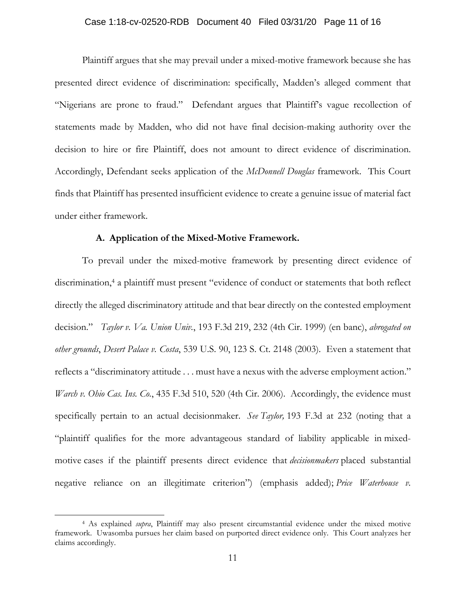#### Case 1:18-cv-02520-RDB Document 40 Filed 03/31/20 Page 11 of 16

Plaintiff argues that she may prevail under a mixed-motive framework because she has presented direct evidence of discrimination: specifically, Madden's alleged comment that "Nigerians are prone to fraud." Defendant argues that Plaintiff's vague recollection of statements made by Madden, who did not have final decision-making authority over the decision to hire or fire Plaintiff, does not amount to direct evidence of discrimination. Accordingly, Defendant seeks application of the *McDonnell Douglas* framework. This Court finds that Plaintiff has presented insufficient evidence to create a genuine issue of material fact under either framework.

# **A. Application of the Mixed-Motive Framework.**

To prevail under the mixed-motive framework by presenting direct evidence of discrimination,<sup>4</sup> a plaintiff must present "evidence of conduct or statements that both reflect directly the alleged discriminatory attitude and that bear directly on the contested employment decision." *Taylor v. Va. Union Univ.*, 193 F.3d 219, 232 (4th Cir. 1999) (en banc), *abrogated on other grounds*, *Desert Palace v. Costa*, 539 U.S. 90, 123 S. Ct. 2148 (2003). Even a statement that reflects a "discriminatory attitude . . . must have a nexus with the adverse employment action." *Warch v. Ohio Cas. Ins. Co.*, 435 F.3d 510, 520 (4th Cir. 2006). Accordingly, the evidence must specifically pertain to an actual decisionmaker. *See Taylor,* 193 F.3d at 232 (noting that a "plaintiff qualifies for the more advantageous standard of liability applicable in mixedmotive cases if the plaintiff presents direct evidence that *decisionmakers* placed substantial negative reliance on an illegitimate criterion") (emphasis added); *Price Waterhouse v.* 

<sup>4</sup> As explained *supra*, Plaintiff may also present circumstantial evidence under the mixed motive framework. Uwasomba pursues her claim based on purported direct evidence only. This Court analyzes her claims accordingly.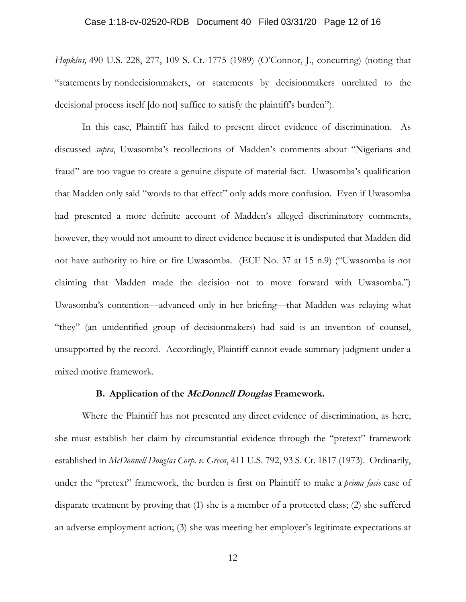#### Case 1:18-cv-02520-RDB Document 40 Filed 03/31/20 Page 12 of 16

*Hopkins,* 490 U.S. 228, 277, 109 S. Ct. 1775 (1989) (O'Connor, J., concurring) (noting that "statements by nondecisionmakers, or statements by decisionmakers unrelated to the decisional process itself [do not] suffice to satisfy the plaintiff's burden").

In this case, Plaintiff has failed to present direct evidence of discrimination. As discussed *supra*, Uwasomba's recollections of Madden's comments about "Nigerians and fraud" are too vague to create a genuine dispute of material fact. Uwasomba's qualification that Madden only said "words to that effect" only adds more confusion. Even if Uwasomba had presented a more definite account of Madden's alleged discriminatory comments, however, they would not amount to direct evidence because it is undisputed that Madden did not have authority to hire or fire Uwasomba. (ECF No. 37 at 15 n.9) ("Uwasomba is not claiming that Madden made the decision not to move forward with Uwasomba.") Uwasomba's contention—advanced only in her briefing—that Madden was relaying what "they" (an unidentified group of decisionmakers) had said is an invention of counsel, unsupported by the record. Accordingly, Plaintiff cannot evade summary judgment under a mixed motive framework.

#### **B. Application of the McDonnell Douglas Framework.**

Where the Plaintiff has not presented any direct evidence of discrimination, as here, she must establish her claim by circumstantial evidence through the "pretext" framework established in *McDonnell Douglas Corp. v. Green*, 411 U.S. 792, 93 S. Ct. 1817 (1973). Ordinarily, under the "pretext" framework, the burden is first on Plaintiff to make a *prima facie* case of disparate treatment by proving that (1) she is a member of a protected class; (2) she suffered an adverse employment action; (3) she was meeting her employer's legitimate expectations at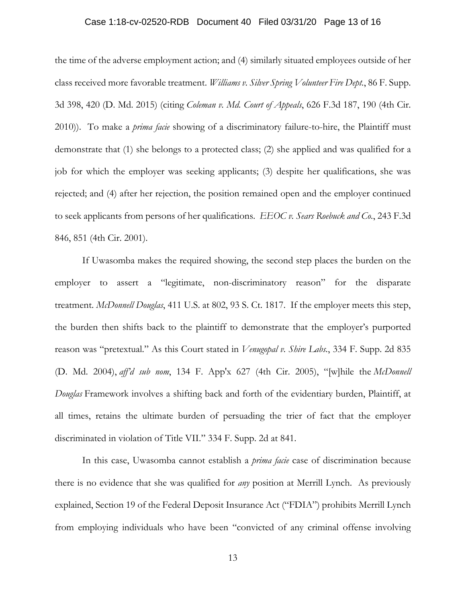#### Case 1:18-cv-02520-RDB Document 40 Filed 03/31/20 Page 13 of 16

the time of the adverse employment action; and (4) similarly situated employees outside of her class received more favorable treatment. *Williams v. Silver Spring Volunteer Fire Dept.*, 86 F. Supp. 3d 398, 420 (D. Md. 2015) (citing *Coleman v. Md. Court of Appeals*, 626 F.3d 187, 190 (4th Cir. 2010)). To make a *prima facie* showing of a discriminatory failure-to-hire, the Plaintiff must demonstrate that (1) she belongs to a protected class; (2) she applied and was qualified for a job for which the employer was seeking applicants; (3) despite her qualifications, she was rejected; and (4) after her rejection, the position remained open and the employer continued to seek applicants from persons of her qualifications. *EEOC v. Sears Roebuck and Co.*, 243 F.3d 846, 851 (4th Cir. 2001).

If Uwasomba makes the required showing, the second step places the burden on the employer to assert a "legitimate, non-discriminatory reason" for the disparate treatment. *McDonnell Douglas*, 411 U.S. at 802, 93 S. Ct. 1817. If the employer meets this step, the burden then shifts back to the plaintiff to demonstrate that the employer's purported reason was "pretextual." As this Court stated in *Venugopal v. Shire Labs.*, 334 F. Supp. 2d 835 (D. Md. 2004), *aff'd sub nom*, 134 F. App'x 627 (4th Cir. 2005), "[w]hile the *McDonnell Douglas* Framework involves a shifting back and forth of the evidentiary burden, Plaintiff, at all times, retains the ultimate burden of persuading the trier of fact that the employer discriminated in violation of Title VII." 334 F. Supp. 2d at 841.

In this case, Uwasomba cannot establish a *prima facie* case of discrimination because there is no evidence that she was qualified for *any* position at Merrill Lynch. As previously explained, Section 19 of the Federal Deposit Insurance Act ("FDIA") prohibits Merrill Lynch from employing individuals who have been "convicted of any criminal offense involving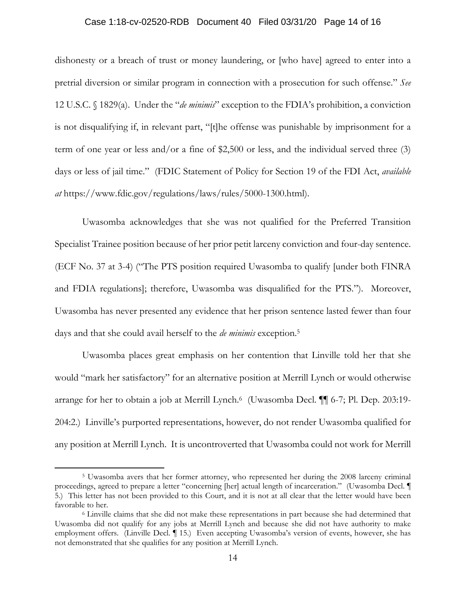#### Case 1:18-cv-02520-RDB Document 40 Filed 03/31/20 Page 14 of 16

dishonesty or a breach of trust or money laundering, or [who have] agreed to enter into a pretrial diversion or similar program in connection with a prosecution for such offense." *See*  12 U.S.C. § 1829(a). Under the "*de minimis*" exception to the FDIA's prohibition, a conviction is not disqualifying if, in relevant part, "[t]he offense was punishable by imprisonment for a term of one year or less and/or a fine of \$2,500 or less, and the individual served three (3) days or less of jail time." (FDIC Statement of Policy for Section 19 of the FDI Act, *available at* https://www.fdic.gov/regulations/laws/rules/5000-1300.html).

Uwasomba acknowledges that she was not qualified for the Preferred Transition Specialist Trainee position because of her prior petit larceny conviction and four-day sentence. (ECF No. 37 at 3-4) ("The PTS position required Uwasomba to qualify [under both FINRA and FDIA regulations]; therefore, Uwasomba was disqualified for the PTS."). Moreover, Uwasomba has never presented any evidence that her prison sentence lasted fewer than four days and that she could avail herself to the *de minimis* exception.5

Uwasomba places great emphasis on her contention that Linville told her that she would "mark her satisfactory" for an alternative position at Merrill Lynch or would otherwise arrange for her to obtain a job at Merrill Lynch.6 (Uwasomba Decl. ¶¶ 6-7; Pl. Dep. 203:19- 204:2.) Linville's purported representations, however, do not render Uwasomba qualified for any position at Merrill Lynch. It is uncontroverted that Uwasomba could not work for Merrill

<sup>5</sup> Uwasomba avers that her former attorney, who represented her during the 2008 larceny criminal proceedings, agreed to prepare a letter "concerning [her] actual length of incarceration." (Uwasomba Decl. ¶ 5.) This letter has not been provided to this Court, and it is not at all clear that the letter would have been favorable to her.

<sup>6</sup> Linville claims that she did not make these representations in part because she had determined that Uwasomba did not qualify for any jobs at Merrill Lynch and because she did not have authority to make employment offers. (Linville Decl. ¶ 15.) Even accepting Uwasomba's version of events, however, she has not demonstrated that she qualifies for any position at Merrill Lynch.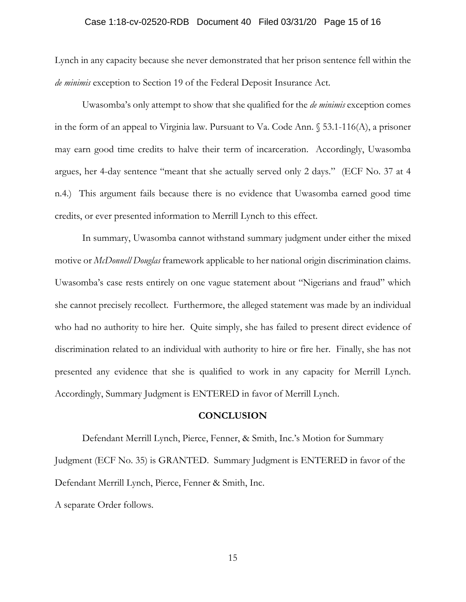#### Case 1:18-cv-02520-RDB Document 40 Filed 03/31/20 Page 15 of 16

Lynch in any capacity because she never demonstrated that her prison sentence fell within the *de minimis* exception to Section 19 of the Federal Deposit Insurance Act.

Uwasomba's only attempt to show that she qualified for the *de minimis* exception comes in the form of an appeal to Virginia law. Pursuant to Va. Code Ann. § 53.1-116(A), a prisoner may earn good time credits to halve their term of incarceration. Accordingly, Uwasomba argues, her 4-day sentence "meant that she actually served only 2 days." (ECF No. 37 at 4 n.4.) This argument fails because there is no evidence that Uwasomba earned good time credits, or ever presented information to Merrill Lynch to this effect.

In summary, Uwasomba cannot withstand summary judgment under either the mixed motive or *McDonnell Douglas* framework applicable to her national origin discrimination claims. Uwasomba's case rests entirely on one vague statement about "Nigerians and fraud" which she cannot precisely recollect. Furthermore, the alleged statement was made by an individual who had no authority to hire her. Quite simply, she has failed to present direct evidence of discrimination related to an individual with authority to hire or fire her. Finally, she has not presented any evidence that she is qualified to work in any capacity for Merrill Lynch. Accordingly, Summary Judgment is ENTERED in favor of Merrill Lynch.

#### **CONCLUSION**

 Defendant Merrill Lynch, Pierce, Fenner, & Smith, Inc.'s Motion for Summary Judgment (ECF No. 35) is GRANTED. Summary Judgment is ENTERED in favor of the Defendant Merrill Lynch, Pierce, Fenner & Smith, Inc.

A separate Order follows.